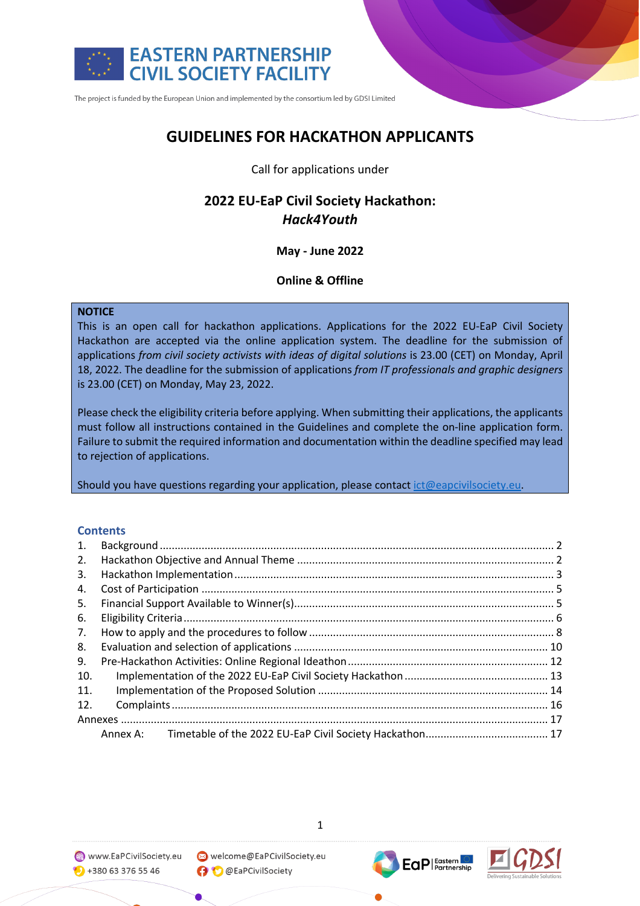

# **GUIDELINES FOR HACKATHON APPLICANTS**

## Call for applications under

# **2022 EU-EaP Civil Society Hackathon:** *Hack4Youth*

# **May - June 2022**

# **Online & Offline**

### **NOTICE**

This is an open call for hackathon applications. Applications for the 2022 EU-EaP Civil Society Hackathon are accepted via the online application system. The deadline for the submission of applications *from civil society activists with ideas of digital solutions* is 23.00 (CET) on Monday, April 18, 2022. The deadline for the submission of applications *from IT professionals and graphic designers*  is 23.00 (CET) on Monday, May 23, 2022.

Please check the eligibility criteria before applying. When submitting their applications, the applicants must follow all instructions contained in the Guidelines and complete the on-line application form. Failure to submit the required information and documentation within the deadline specified may lead to rejection of applications.

Should you have questions regarding your application, please contact ict@eapcivilsociety.eu.

# **Contents**

| 1.  |  |
|-----|--|
| 2.  |  |
| 3.  |  |
| 4.  |  |
| 5.  |  |
| 6.  |  |
| 7.  |  |
| 8.  |  |
| 9.  |  |
| 10. |  |
| 11. |  |
| 12. |  |
|     |  |
|     |  |



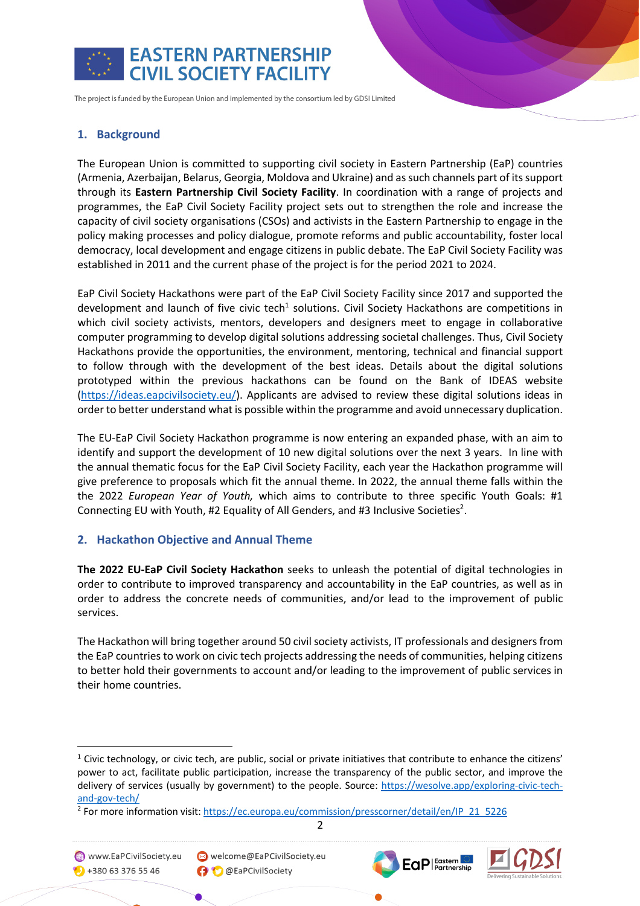

# **1. Background**

The European Union is committed to supporting civil society in Eastern Partnership (EaP) countries (Armenia, Azerbaijan, Belarus, Georgia, Moldova and Ukraine) and as such channels part of its support through its **Eastern Partnership Civil Society Facility**. In coordination with a range of projects and programmes, the EaP Civil Society Facility project sets out to strengthen the role and increase the capacity of civil society organisations (CSOs) and activists in the Eastern Partnership to engage in the policy making processes and policy dialogue, promote reforms and public accountability, foster local democracy, local development and engage citizens in public debate. The EaP Civil Society Facility was established in 2011 and the current phase of the project is for the period 2021 to 2024.

EaP Civil Society Hackathons were part of the EaP Civil Society Facility since 2017 and supported the development and launch of five civic tech<sup>1</sup> solutions. Civil Society Hackathons are competitions in which civil society activists, mentors, developers and designers meet to engage in collaborative computer programming to develop digital solutions addressing societal challenges. Thus, Civil Society Hackathons provide the opportunities, the environment, mentoring, technical and financial support to follow through with the development of the best ideas. Details about the digital solutions prototyped within the previous hackathons can be found on the Bank of IDEAS website (https://ideas.eapcivilsociety.eu/). Applicants are advised to review these digital solutions ideas in order to better understand what is possible within the programme and avoid unnecessary duplication.

The EU-EaP Civil Society Hackathon programme is now entering an expanded phase, with an aim to identify and support the development of 10 new digital solutions over the next 3 years. In line with the annual thematic focus for the EaP Civil Society Facility, each year the Hackathon programme will give preference to proposals which fit the annual theme. In 2022, the annual theme falls within the the 2022 *European Year of Youth,* which aims to contribute to three specific Youth Goals: #1 Connecting EU with Youth, #2 Equality of All Genders, and #3 Inclusive Societies<sup>2</sup>.

### **2. Hackathon Objective and Annual Theme**

**The 2022 EU-EaP Civil Society Hackathon** seeks to unleash the potential of digital technologies in order to contribute to improved transparency and accountability in the EaP countries, as well as in order to address the concrete needs of communities, and/or lead to the improvement of public services.

The Hackathon will bring together around 50 civil society activists, IT professionals and designers from the EaP countries to work on civic tech projects addressing the needs of communities, helping citizens to better hold their governments to account and/or leading to the improvement of public services in their home countries.



 $\bullet$  +380 63 376 55 46

Welcome@EaPCivilSociety.eu **O** @EaPCivilSociety





<sup>&</sup>lt;sup>1</sup> Civic technology, or civic tech, are public, social or private initiatives that contribute to enhance the citizens' power to act, facilitate public participation, increase the transparency of the public sector, and improve the delivery of services (usually by government) to the people. Source: https://wesolve.app/exploring-civic-techand-gov-tech/

<sup>&</sup>lt;sup>2</sup> For more information visit: https://ec.europa.eu/commission/presscorner/detail/en/IP\_21\_5226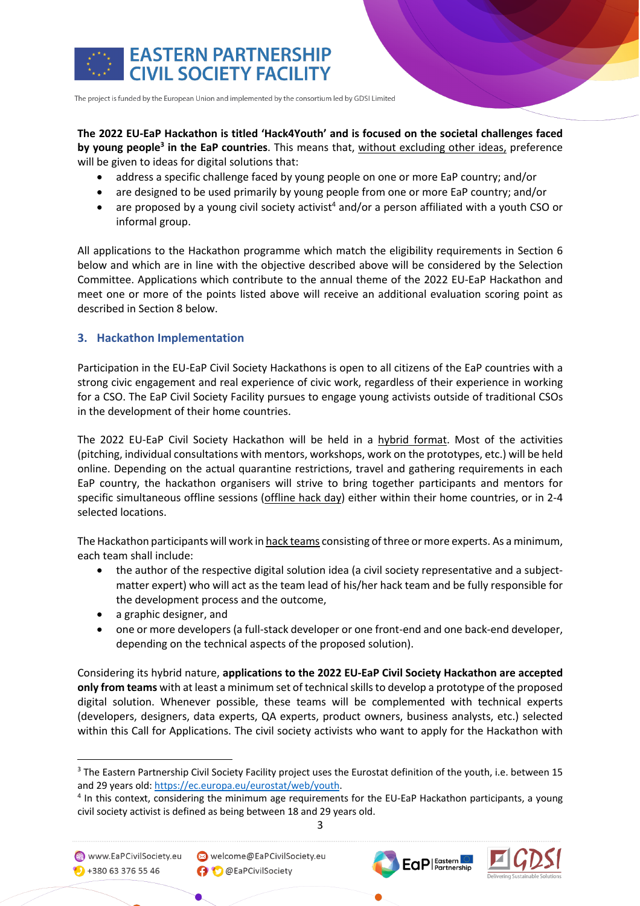

# **The 2022 EU-EaP Hackathon is titled 'Hack4Youth' and is focused on the societal challenges faced by young people3 in the EaP countries**. This means that, without excluding other ideas, preference will be given to ideas for digital solutions that:

- address a specific challenge faced by young people on one or more EaP country; and/or
- are designed to be used primarily by young people from one or more EaP country; and/or
- are proposed by a young civil society activist<sup>4</sup> and/or a person affiliated with a youth CSO or informal group.

All applications to the Hackathon programme which match the eligibility requirements in Section 6 below and which are in line with the objective described above will be considered by the Selection Committee. Applications which contribute to the annual theme of the 2022 EU-EaP Hackathon and meet one or more of the points listed above will receive an additional evaluation scoring point as described in Section 8 below.

# **3. Hackathon Implementation**

Participation in the EU-EaP Civil Society Hackathons is open to all citizens of the EaP countries with a strong civic engagement and real experience of civic work, regardless of their experience in working for a CSO. The EaP Civil Society Facility pursues to engage young activists outside of traditional CSOs in the development of their home countries.

The 2022 EU-EaP Civil Society Hackathon will be held in a hybrid format. Most of the activities (pitching, individual consultations with mentors, workshops, work on the prototypes, etc.) will be held online. Depending on the actual quarantine restrictions, travel and gathering requirements in each EaP country, the hackathon organisers will strive to bring together participants and mentors for specific simultaneous offline sessions (offline hack day) either within their home countries, or in 2-4 selected locations.

The Hackathon participants will work in hack teams consisting of three or more experts. As a minimum, each team shall include:

- the author of the respective digital solution idea (a civil society representative and a subjectmatter expert) who will act as the team lead of his/her hack team and be fully responsible for the development process and the outcome,
- a graphic designer, and
- one or more developers (a full-stack developer or one front-end and one back-end developer, depending on the technical aspects of the proposed solution).

Considering its hybrid nature, **applications to the 2022 EU-EaP Civil Society Hackathon are accepted only from teams** with at least a minimum set of technical skills to develop a prototype of the proposed digital solution. Whenever possible, these teams will be complemented with technical experts (developers, designers, data experts, QA experts, product owners, business analysts, etc.) selected within this Call for Applications. The civil society activists who want to apply for the Hackathon with

3

www.EaPCivilSociety.eu  $\bullet$  +380 63 376 55 46

Welcome@EaPCivilSociety.eu **O** @EaPCivilSociety





<sup>3</sup> The Eastern Partnership Civil Society Facility project uses the Eurostat definition of the youth, i.e. between 15 and 29 years old: https://ec.europa.eu/eurostat/web/youth.<br>4 In this context, considering the minimum age requirements for the EU-EaP Hackathon participants, a young

civil society activist is defined as being between 18 and 29 years old.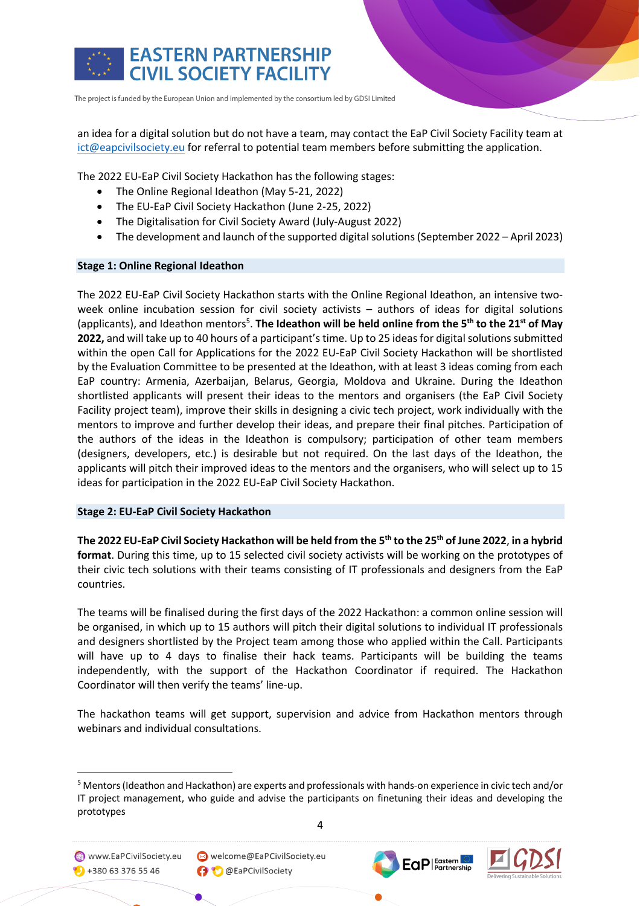

an idea for a digital solution but do not have a team, may contact the EaP Civil Society Facility team at ict@eapcivilsociety.eu for referral to potential team members before submitting the application.

The 2022 EU-EaP Civil Society Hackathon has the following stages:

- The Online Regional Ideathon (May 5-21, 2022)
- The EU-EaP Civil Society Hackathon (June 2-25, 2022)
- The Digitalisation for Civil Society Award (July-August 2022)
- The development and launch of the supported digital solutions (September 2022 April 2023)

#### **Stage 1: Online Regional Ideathon**

The 2022 EU-EaP Civil Society Hackathon starts with the Online Regional Ideathon, an intensive twoweek online incubation session for civil society activists – authors of ideas for digital solutions (applicants), and Ideathon mentors<sup>5</sup>. The Ideathon will be held online from the 5<sup>th</sup> to the 21<sup>st</sup> of May **2022,** and will take up to 40 hours of a participant's time. Up to 25 ideas for digital solutions submitted within the open Call for Applications for the 2022 EU-EaP Civil Society Hackathon will be shortlisted by the Evaluation Committee to be presented at the Ideathon, with at least 3 ideas coming from each EaP country: Armenia, Azerbaijan, Belarus, Georgia, Moldova and Ukraine. During the Ideathon shortlisted applicants will present their ideas to the mentors and organisers (the EaP Civil Society Facility project team), improve their skills in designing a civic tech project, work individually with the mentors to improve and further develop their ideas, and prepare their final pitches. Participation of the authors of the ideas in the Ideathon is compulsory; participation of other team members (designers, developers, etc.) is desirable but not required. On the last days of the Ideathon, the applicants will pitch their improved ideas to the mentors and the organisers, who will select up to 15 ideas for participation in the 2022 EU-EaP Civil Society Hackathon.

### **Stage 2: EU-EaP Civil Society Hackathon**

**The 2022 EU-EaP Civil Society Hackathon will be held from the 5th to the 25th of June 2022**, **in a hybrid format**. During this time, up to 15 selected civil society activists will be working on the prototypes of their civic tech solutions with their teams consisting of IT professionals and designers from the EaP countries.

The teams will be finalised during the first days of the 2022 Hackathon: a common online session will be organised, in which up to 15 authors will pitch their digital solutions to individual IT professionals and designers shortlisted by the Project team among those who applied within the Call. Participants will have up to 4 days to finalise their hack teams. Participants will be building the teams independently, with the support of the Hackathon Coordinator if required. The Hackathon Coordinator will then verify the teams' line-up.

The hackathon teams will get support, supervision and advice from Hackathon mentors through webinars and individual consultations.

<sup>5</sup> Mentors (Ideathon and Hackathon) are experts and professionals with hands-on experience in civic tech and/or IT project management, who guide and advise the participants on finetuning their ideas and developing the prototypes







www.EaPCivilSociety.eu

 $\bigodot$  +380 63 376 55 46

Welcome@EaPCivilSociety.eu **O** @EaPCivilSociety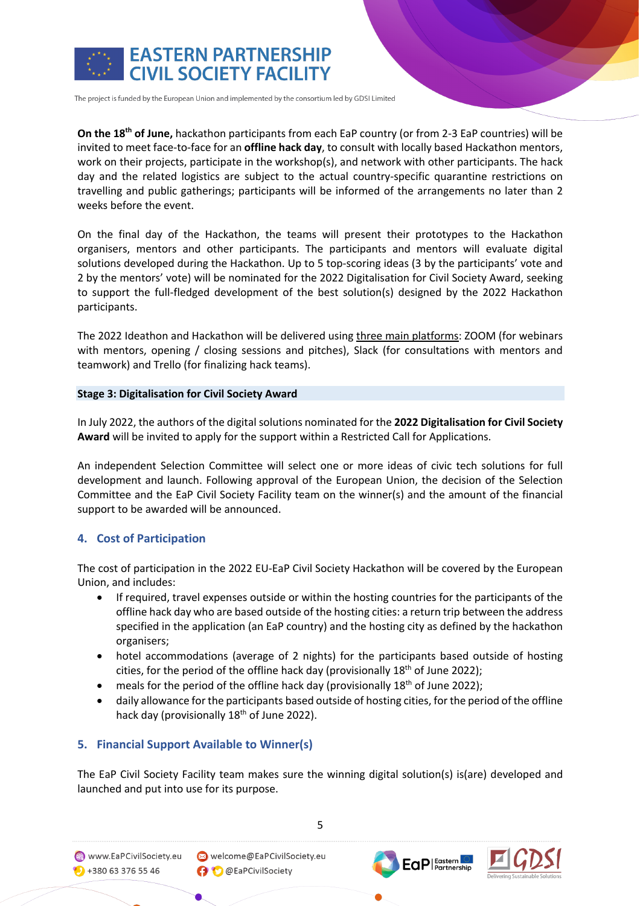

**On the 18th of June,** hackathon participants from each EaP country (or from 2-3 EaP countries) will be invited to meet face-to-face for an **offline hack day**, to consult with locally based Hackathon mentors, work on their projects, participate in the workshop(s), and network with other participants. The hack day and the related logistics are subject to the actual country-specific quarantine restrictions on travelling and public gatherings; participants will be informed of the arrangements no later than 2 weeks before the event.

On the final day of the Hackathon, the teams will present their prototypes to the Hackathon organisers, mentors and other participants. The participants and mentors will evaluate digital solutions developed during the Hackathon. Up to 5 top-scoring ideas (3 by the participants' vote and 2 by the mentors' vote) will be nominated for the 2022 Digitalisation for Civil Society Award, seeking to support the full-fledged development of the best solution(s) designed by the 2022 Hackathon participants.

The 2022 Ideathon and Hackathon will be delivered using three main platforms: ZOOM (for webinars with mentors, opening / closing sessions and pitches), Slack (for consultations with mentors and teamwork) and Trello (for finalizing hack teams).

### **Stage 3: Digitalisation for Civil Society Award**

In July 2022, the authors of the digital solutions nominated for the **2022 Digitalisation for Civil Society Award** will be invited to apply for the support within a Restricted Call for Applications.

An independent Selection Committee will select one or more ideas of civic tech solutions for full development and launch. Following approval of the European Union, the decision of the Selection Committee and the EaP Civil Society Facility team on the winner(s) and the amount of the financial support to be awarded will be announced.

# **4. Cost of Participation**

The cost of participation in the 2022 EU-EaP Civil Society Hackathon will be covered by the European Union, and includes:

- If required, travel expenses outside or within the hosting countries for the participants of the offline hack day who are based outside of the hosting cities: a return trip between the address specified in the application (an EaP country) and the hosting city as defined by the hackathon organisers;
- hotel accommodations (average of 2 nights) for the participants based outside of hosting cities, for the period of the offline hack day (provisionally  $18<sup>th</sup>$  of June 2022);
- meals for the period of the offline hack day (provisionally 18<sup>th</sup> of June 2022);
- daily allowance for the participants based outside of hosting cities, for the period of the offline hack day (provisionally  $18<sup>th</sup>$  of June 2022).

# **5. Financial Support Available to Winner(s)**

The EaP Civil Society Facility team makes sure the winning digital solution(s) is(are) developed and launched and put into use for its purpose.

www.EaPCivilSociety.eu  $\bigodot$  +380 63 376 55 46

Welcome@EaPCivilSociety.eu **O** @EaPCivilSociety



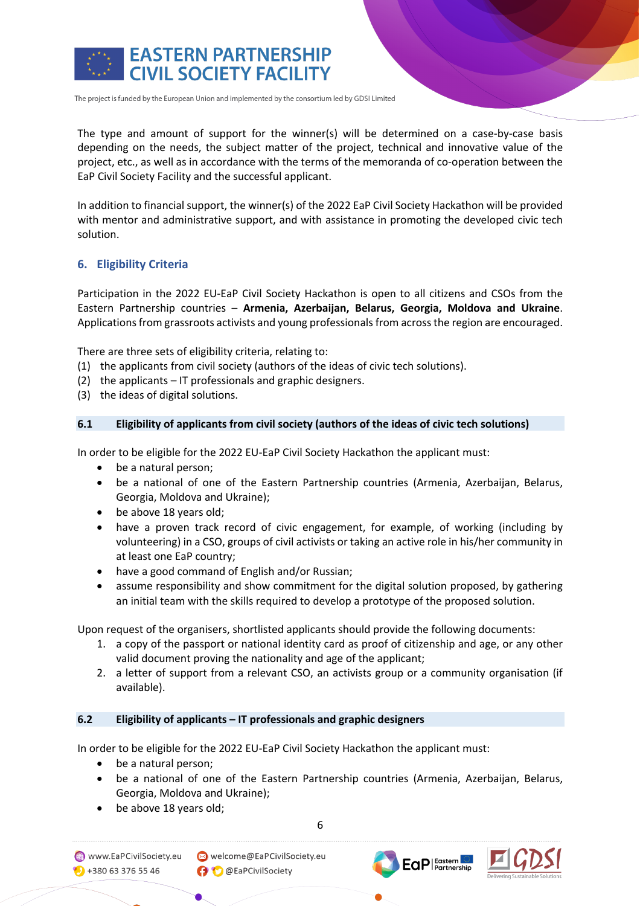

The type and amount of support for the winner(s) will be determined on a case-by-case basis depending on the needs, the subject matter of the project, technical and innovative value of the project, etc., as well as in accordance with the terms of the memoranda of co-operation between the EaP Civil Society Facility and the successful applicant.

In addition to financial support, the winner(s) of the 2022 EaP Civil Society Hackathon will be provided with mentor and administrative support, and with assistance in promoting the developed civic tech solution.

# **6. Eligibility Criteria**

Participation in the 2022 EU-EaP Civil Society Hackathon is open to all citizens and CSOs from the Eastern Partnership countries – **Armenia, Azerbaijan, Belarus, Georgia, Moldova and Ukraine**. Applications from grassroots activists and young professionals from across the region are encouraged.

There are three sets of eligibility criteria, relating to:

- (1) the applicants from civil society (authors of the ideas of civic tech solutions).
- (2) the applicants IT professionals and graphic designers.
- (3) the ideas of digital solutions.

#### **6.1 Eligibility of applicants from civil society (authors of the ideas of civic tech solutions)**

In order to be eligible for the 2022 EU-EaP Civil Society Hackathon the applicant must:

- be a natural person;
- be a national of one of the Eastern Partnership countries (Armenia, Azerbaijan, Belarus, Georgia, Moldova and Ukraine);
- be above 18 years old;
- have a proven track record of civic engagement, for example, of working (including by volunteering) in a CSO, groups of civil activists or taking an active role in his/her community in at least one EaP country;
- have a good command of English and/or Russian;
- assume responsibility and show commitment for the digital solution proposed, by gathering an initial team with the skills required to develop a prototype of the proposed solution.

Upon request of the organisers, shortlisted applicants should provide the following documents:

- 1. a copy of the passport or national identity card as proof of citizenship and age, or any other valid document proving the nationality and age of the applicant;
- 2. a letter of support from a relevant CSO, an activists group or a community organisation (if available).

### **6.2 Eligibility of applicants – IT professionals and graphic designers**

In order to be eligible for the 2022 EU-EaP Civil Society Hackathon the applicant must:

- be a natural person;
- be a national of one of the Eastern Partnership countries (Armenia, Azerbaijan, Belarus, Georgia, Moldova and Ukraine);
- be above 18 years old;

6

www.EaPCivilSociety.eu  $\bigcirc$  +380 63 376 55 46



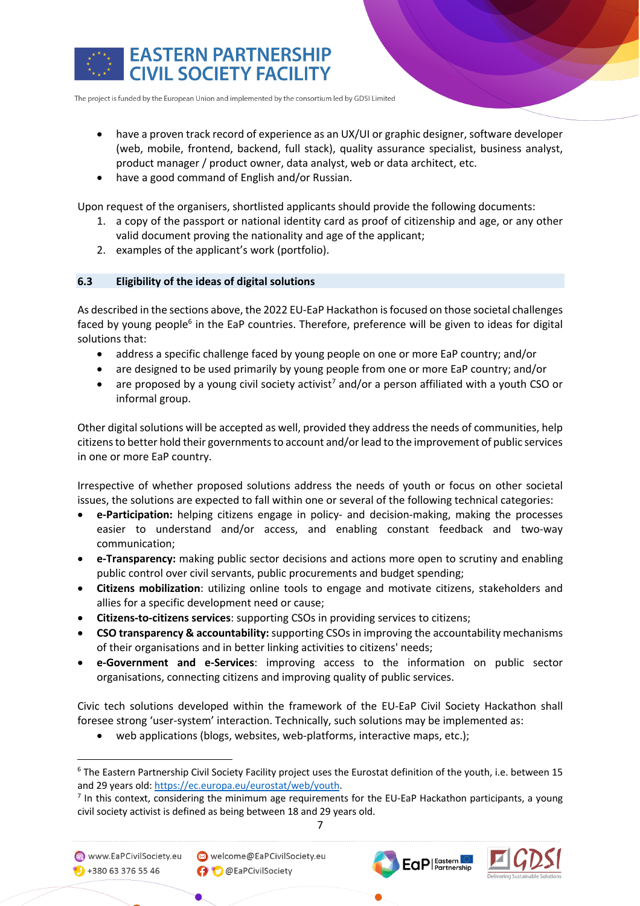

- have a proven track record of experience as an UX/UI or graphic designer, software developer (web, mobile, frontend, backend, full stack), quality assurance specialist, business analyst, product manager / product owner, data analyst, web or data architect, etc.
- have a good command of English and/or Russian.

Upon request of the organisers, shortlisted applicants should provide the following documents:

- 1. a copy of the passport or national identity card as proof of citizenship and age, or any other valid document proving the nationality and age of the applicant;
- 2. examples of the applicant's work (portfolio).

### **6.3 Eligibility of the ideas of digital solutions**

As described in the sections above, the 2022 EU-EaP Hackathon is focused on those societal challenges faced by young people $<sup>6</sup>$  in the EaP countries. Therefore, preference will be given to ideas for digital</sup> solutions that:

- address a specific challenge faced by young people on one or more EaP country; and/or
- are designed to be used primarily by young people from one or more EaP country; and/or
- are proposed by a young civil society activist<sup>7</sup> and/or a person affiliated with a youth CSO or informal group.

Other digital solutions will be accepted as well, provided they address the needs of communities, help citizens to better hold their governments to account and/or lead to the improvement of public services in one or more EaP country.

Irrespective of whether proposed solutions address the needs of youth or focus on other societal issues, the solutions are expected to fall within one or several of the following technical categories:

- **e-Participation:** helping citizens engage in policy- and decision-making, making the processes easier to understand and/or access, and enabling constant feedback and two-way communication;
- **e-Transparency:** making public sector decisions and actions more open to scrutiny and enabling public control over civil servants, public procurements and budget spending;
- **Citizens mobilization**: utilizing online tools to engage and motivate citizens, stakeholders and allies for a specific development need or cause;
- **Citizens-to-citizens services**: supporting CSOs in providing services to citizens;
- **CSO transparency & accountability:** supporting CSOs in improving the accountability mechanisms of their organisations and in better linking activities to citizens' needs;
- **e-Government and e-Services**: improving access to the information on public sector organisations, connecting citizens and improving quality of public services.

Civic tech solutions developed within the framework of the EU-EaP Civil Society Hackathon shall foresee strong 'user-system' interaction. Technically, such solutions may be implemented as:

web applications (blogs, websites, web-platforms, interactive maps, etc.);

7

Welcome@EaPCivilSociety.eu **O** @EaPCivilSociety





<sup>6</sup> The Eastern Partnership Civil Society Facility project uses the Eurostat definition of the youth, i.e. between 15 and 29 years old: https://ec.europa.eu/eurostat/web/youth.<br><sup>7</sup> In this context, considering the minimum age requirements for the EU-EaP Hackathon participants, a young

civil society activist is defined as being between 18 and 29 years old.

www.EaPCivilSociety.eu

 $\bullet$  +380 63 376 55 46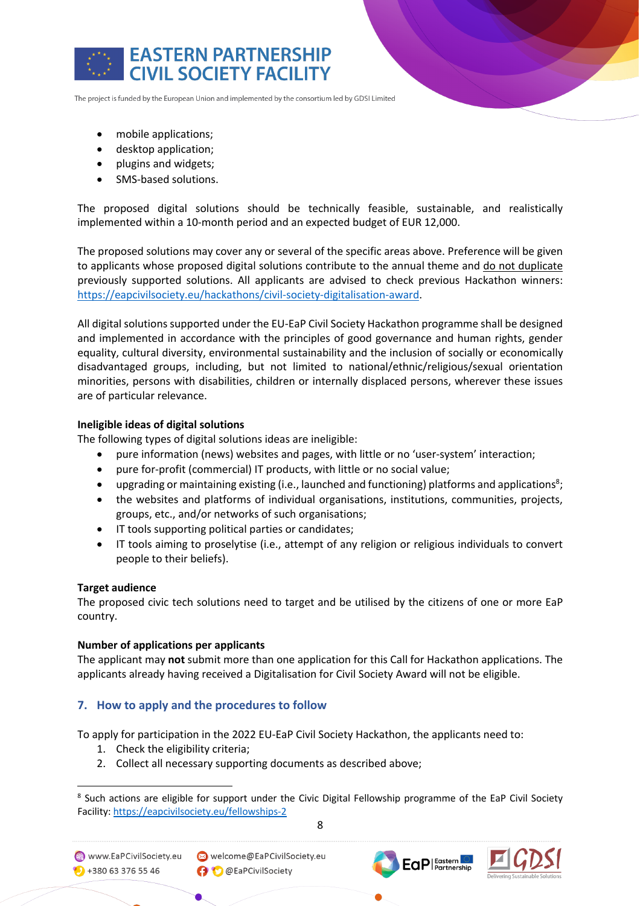

- mobile applications;
- desktop application;
- plugins and widgets;
- SMS-based solutions.

The proposed digital solutions should be technically feasible, sustainable, and realistically implemented within a 10-month period and an expected budget of EUR 12,000.

The proposed solutions may cover any or several of the specific areas above. Preference will be given to applicants whose proposed digital solutions contribute to the annual theme and do not duplicate previously supported solutions. All applicants are advised to check previous Hackathon winners: https://eapcivilsociety.eu/hackathons/civil-society-digitalisation-award.

All digital solutions supported under the EU-EaP Civil Society Hackathon programme shall be designed and implemented in accordance with the principles of good governance and human rights, gender equality, cultural diversity, environmental sustainability and the inclusion of socially or economically disadvantaged groups, including, but not limited to national/ethnic/religious/sexual orientation minorities, persons with disabilities, children or internally displaced persons, wherever these issues are of particular relevance.

## **Ineligible ideas of digital solutions**

The following types of digital solutions ideas are ineligible:

- pure information (news) websites and pages, with little or no 'user-system' interaction;
- pure for-profit (commercial) IT products, with little or no social value;
- upgrading or maintaining existing (i.e., launched and functioning) platforms and applications<sup>8</sup>;
- the websites and platforms of individual organisations, institutions, communities, projects, groups, etc., and/or networks of such organisations;
- IT tools supporting political parties or candidates;
- IT tools aiming to proselytise (i.e., attempt of any religion or religious individuals to convert people to their beliefs).

### **Target audience**

The proposed civic tech solutions need to target and be utilised by the citizens of one or more EaP country.

### **Number of applications per applicants**

The applicant may **not** submit more than one application for this Call for Hackathon applications. The applicants already having received a Digitalisation for Civil Society Award will not be eligible.

# **7. How to apply and the procedures to follow**

To apply for participation in the 2022 EU-EaP Civil Society Hackathon, the applicants need to:

- 1. Check the eligibility criteria;
- 2. Collect all necessary supporting documents as described above;



<sup>&</sup>lt;sup>8</sup> Such actions are eligible for support under the Civic Digital Fellowship programme of the EaP Civil Society Facility: https://eapcivilsociety.eu/fellowships-2

www.EaPCivilSociety.eu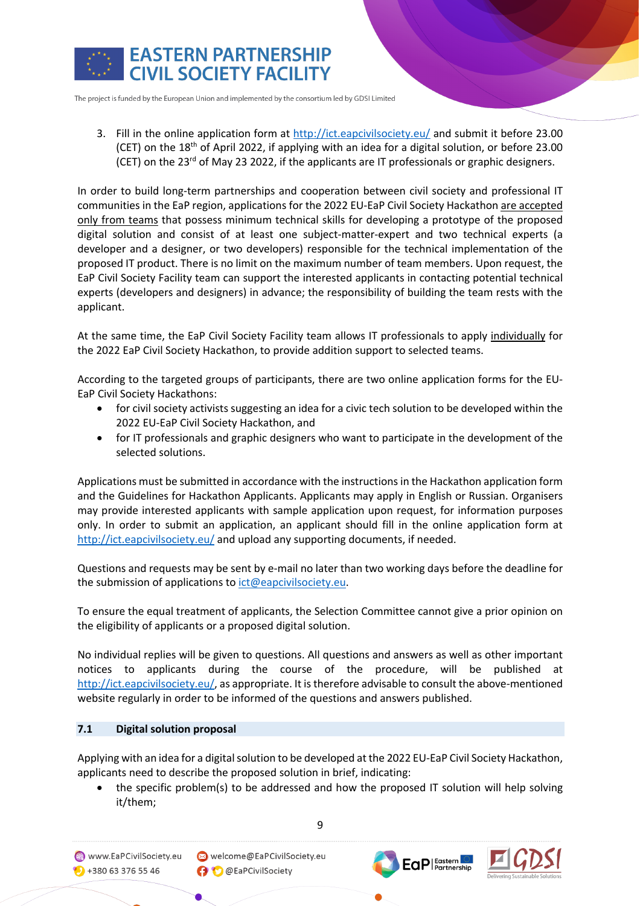

3. Fill in the online application form at http://ict.eapcivilsociety.eu/ and submit it before 23.00 (CET) on the 18th of April 2022, if applying with an idea for a digital solution, or before 23.00 (CET) on the 23<sup>rd</sup> of May 23 2022, if the applicants are IT professionals or graphic designers.

In order to build long-term partnerships and cooperation between civil society and professional IT communities in the EaP region, applications for the 2022 EU-EaP Civil Society Hackathon are accepted only from teams that possess minimum technical skills for developing a prototype of the proposed digital solution and consist of at least one subject-matter-expert and two technical experts (a developer and a designer, or two developers) responsible for the technical implementation of the proposed IT product. There is no limit on the maximum number of team members. Upon request, the EaP Civil Society Facility team can support the interested applicants in contacting potential technical experts (developers and designers) in advance; the responsibility of building the team rests with the applicant.

At the same time, the EaP Civil Society Facility team allows IT professionals to apply individually for the 2022 EaP Civil Society Hackathon, to provide addition support to selected teams.

According to the targeted groups of participants, there are two online application forms for the EU-EaP Civil Society Hackathons:

- for civil society activists suggesting an idea for a civic tech solution to be developed within the 2022 EU-EaP Civil Society Hackathon, and
- for IT professionals and graphic designers who want to participate in the development of the selected solutions.

Applications must be submitted in accordance with the instructions in the Hackathon application form and the Guidelines for Hackathon Applicants. Applicants may apply in English or Russian. Organisers may provide interested applicants with sample application upon request, for information purposes only. In order to submit an application, an applicant should fill in the online application form at http://ict.eapcivilsociety.eu/ and upload any supporting documents, if needed.

Questions and requests may be sent by e-mail no later than two working days before the deadline for the submission of applications to ict@eapcivilsociety.eu.

To ensure the equal treatment of applicants, the Selection Committee cannot give a prior opinion on the eligibility of applicants or a proposed digital solution.

No individual replies will be given to questions. All questions and answers as well as other important notices to applicants during the course of the procedure, will be published at http://ict.eapcivilsociety.eu/, as appropriate. It is therefore advisable to consult the above-mentioned website regularly in order to be informed of the questions and answers published.

## **7.1 Digital solution proposal**

Applying with an idea for a digital solution to be developed at the 2022 EU-EaP Civil Society Hackathon, applicants need to describe the proposed solution in brief, indicating:

• the specific problem(s) to be addressed and how the proposed IT solution will help solving it/them;

www.EaPCivilSociety.eu  $\bigcirc$  +380 63 376 55 46

Welcome@EaPCivilSociety.eu **O** @EaPCivilSociety





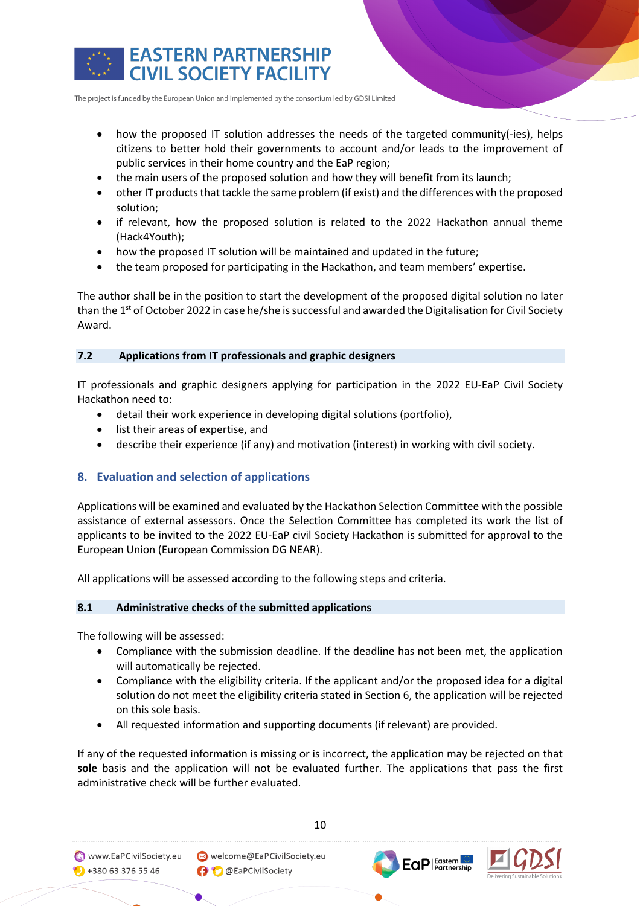

- how the proposed IT solution addresses the needs of the targeted community(-ies), helps citizens to better hold their governments to account and/or leads to the improvement of public services in their home country and the EaP region;
- the main users of the proposed solution and how they will benefit from its launch;
- other IT products that tackle the same problem (if exist) and the differences with the proposed solution;
- if relevant, how the proposed solution is related to the 2022 Hackathon annual theme (Hack4Youth);
- how the proposed IT solution will be maintained and updated in the future;
- the team proposed for participating in the Hackathon, and team members' expertise.

The author shall be in the position to start the development of the proposed digital solution no later than the 1<sup>st</sup> of October 2022 in case he/she is successful and awarded the Digitalisation for Civil Society Award.

### **7.2 Applications from IT professionals and graphic designers**

IT professionals and graphic designers applying for participation in the 2022 EU-EaP Civil Society Hackathon need to:

- detail their work experience in developing digital solutions (portfolio),
- list their areas of expertise, and
- describe their experience (if any) and motivation (interest) in working with civil society.

# **8. Evaluation and selection of applications**

Applications will be examined and evaluated by the Hackathon Selection Committee with the possible assistance of external assessors. Once the Selection Committee has completed its work the list of applicants to be invited to the 2022 EU-EaP civil Society Hackathon is submitted for approval to the European Union (European Commission DG NEAR).

All applications will be assessed according to the following steps and criteria.

### **8.1 Administrative checks of the submitted applications**

The following will be assessed:

- Compliance with the submission deadline. If the deadline has not been met, the application will automatically be rejected.
- Compliance with the eligibility criteria. If the applicant and/or the proposed idea for a digital solution do not meet the eligibility criteria stated in Section 6, the application will be rejected on this sole basis.
- All requested information and supporting documents (if relevant) are provided.

If any of the requested information is missing or is incorrect, the application may be rejected on that **sole** basis and the application will not be evaluated further. The applications that pass the first administrative check will be further evaluated.



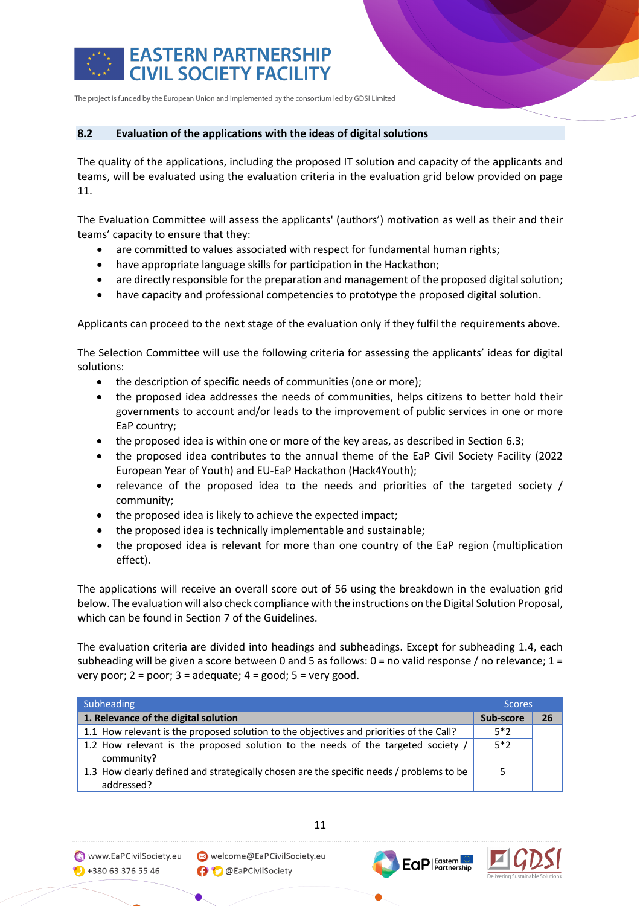

#### **8.2 Evaluation of the applications with the ideas of digital solutions**

The quality of the applications, including the proposed IT solution and capacity of the applicants and teams, will be evaluated using the evaluation criteria in the evaluation grid below provided on page 11.

The Evaluation Committee will assess the applicants' (authors') motivation as well as their and their teams' capacity to ensure that they:

- are committed to values associated with respect for fundamental human rights;
- have appropriate language skills for participation in the Hackathon;
- are directly responsible for the preparation and management of the proposed digital solution;
- have capacity and professional competencies to prototype the proposed digital solution.

Applicants can proceed to the next stage of the evaluation only if they fulfil the requirements above.

The Selection Committee will use the following criteria for assessing the applicants' ideas for digital solutions:

- the description of specific needs of communities (one or more);
- the proposed idea addresses the needs of communities, helps citizens to better hold their governments to account and/or leads to the improvement of public services in one or more EaP country;
- the proposed idea is within one or more of the key areas, as described in Section 6.3;
- the proposed idea contributes to the annual theme of the EaP Civil Society Facility (2022 European Year of Youth) and EU-EaP Hackathon (Hack4Youth);
- relevance of the proposed idea to the needs and priorities of the targeted society / community;
- the proposed idea is likely to achieve the expected impact;
- the proposed idea is technically implementable and sustainable;
- the proposed idea is relevant for more than one country of the EaP region (multiplication effect).

The applications will receive an overall score out of 56 using the breakdown in the evaluation grid below. The evaluation will also check compliance with the instructions on the Digital Solution Proposal, which can be found in Section 7 of the Guidelines.

The evaluation criteria are divided into headings and subheadings. Except for subheading 1.4, each subheading will be given a score between 0 and 5 as follows: 0 = no valid response / no relevance; 1 = very poor;  $2 = poor$ ;  $3 = adequate$ ;  $4 = good$ ;  $5 = very good$ .

| Subheading                                                                                             |       | <b>Scores</b> |  |
|--------------------------------------------------------------------------------------------------------|-------|---------------|--|
| 1. Relevance of the digital solution                                                                   |       | 26            |  |
| 1.1 How relevant is the proposed solution to the objectives and priorities of the Call?                | $5*2$ |               |  |
| 1.2 How relevant is the proposed solution to the needs of the targeted society /<br>community?         | $5*2$ |               |  |
| 1.3 How clearly defined and strategically chosen are the specific needs / problems to be<br>addressed? |       |               |  |

11

www.EaPCivilSociety.eu  $\bigodot$  +380 63 376 55 46

Welcome@EaPCivilSociety.eu **O** @EaPCivilSociety

**EaP** | Eastern

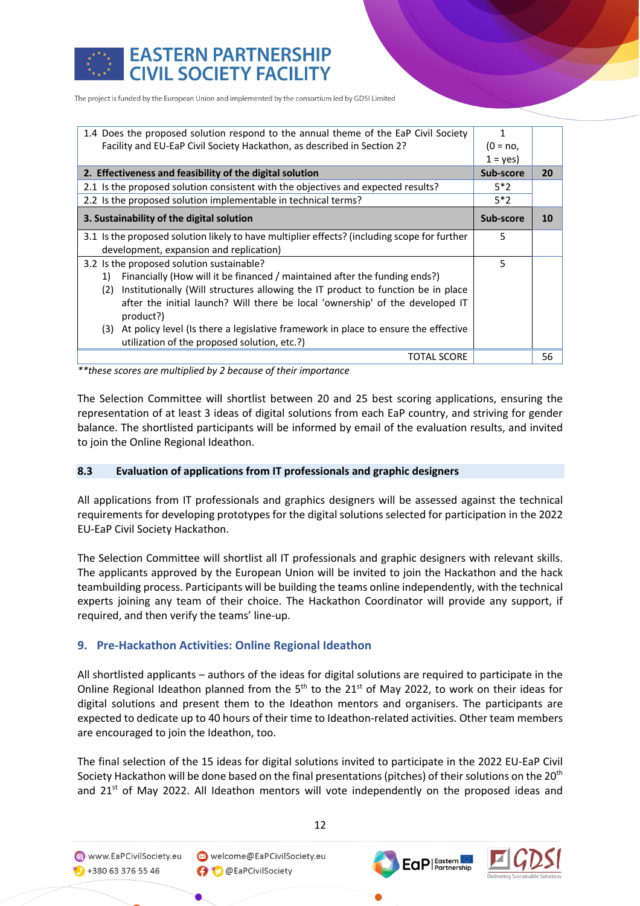

# **EASTERN PARTNERSHIP CIVIL SOCIETY FACILITY**

The project is funded by the European Union and implemented by the consortium led by GDSI Limited

| 1.4 Does the proposed solution respond to the annual theme of the EaP Civil Society                                                       | 1          |    |
|-------------------------------------------------------------------------------------------------------------------------------------------|------------|----|
| Facility and EU-EaP Civil Society Hackathon, as described in Section 2?                                                                   | $(0 = no,$ |    |
|                                                                                                                                           | $1 = yes$  |    |
| 2. Effectiveness and feasibility of the digital solution                                                                                  | Sub-score  | 20 |
| 2.1 Is the proposed solution consistent with the objectives and expected results?                                                         | $5*2$      |    |
| 2.2 Is the proposed solution implementable in technical terms?                                                                            | $5*2$      |    |
| 3. Sustainability of the digital solution                                                                                                 |            | 10 |
| 3.1 Is the proposed solution likely to have multiplier effects? (including scope for further                                              | 5          |    |
| development, expansion and replication)                                                                                                   |            |    |
| 3.2 Is the proposed solution sustainable?                                                                                                 |            |    |
| Financially (How will it be financed / maintained after the funding ends?)<br>1)                                                          |            |    |
| Institutionally (Will structures allowing the IT product to function be in place<br>(2)                                                   |            |    |
| after the initial launch? Will there be local 'ownership' of the developed IT<br>product?)                                                |            |    |
| At policy level (Is there a legislative framework in place to ensure the effective<br>(3)<br>utilization of the proposed solution, etc.?) |            |    |
| TOTAL SCORE                                                                                                                               |            | 56 |

*\*\*these scores are multiplied by 2 because of their importance*

The Selection Committee will shortlist between 20 and 25 best scoring applications, ensuring the representation of at least 3 ideas of digital solutions from each EaP country, and striving for gender balance. The shortlisted participants will be informed by email of the evaluation results, and invited to join the Online Regional Ideathon.

### **8.3 Evaluation of applications from IT professionals and graphic designers**

All applications from IT professionals and graphics designers will be assessed against the technical requirements for developing prototypes for the digital solutions selected for participation in the 2022 EU-EaP Civil Society Hackathon.

The Selection Committee will shortlist all IT professionals and graphic designers with relevant skills. The applicants approved by the European Union will be invited to join the Hackathon and the hack teambuilding process. Participants will be building the teams online independently, with the technical experts joining any team of their choice. The Hackathon Coordinator will provide any support, if required, and then verify the teams' line-up.

# **9. Pre-Hackathon Activities: Online Regional Ideathon**

All shortlisted applicants – authors of the ideas for digital solutions are required to participate in the Online Regional Ideathon planned from the  $5<sup>th</sup>$  to the 21<sup>st</sup> of May 2022, to work on their ideas for digital solutions and present them to the Ideathon mentors and organisers. The participants are expected to dedicate up to 40 hours of their time to Ideathon-related activities. Other team members are encouraged to join the Ideathon, too.

The final selection of the 15 ideas for digital solutions invited to participate in the 2022 EU-EaP Civil Society Hackathon will be done based on the final presentations (pitches) of their solutions on the 20<sup>th</sup> and 21<sup>st</sup> of May 2022. All Ideathon mentors will vote independently on the proposed ideas and

www.EaPCivilSociety.eu  $\bullet$  +380 63 376 55 46

Welcome@EaPCivilSociety.eu O @EaPCivilSociety



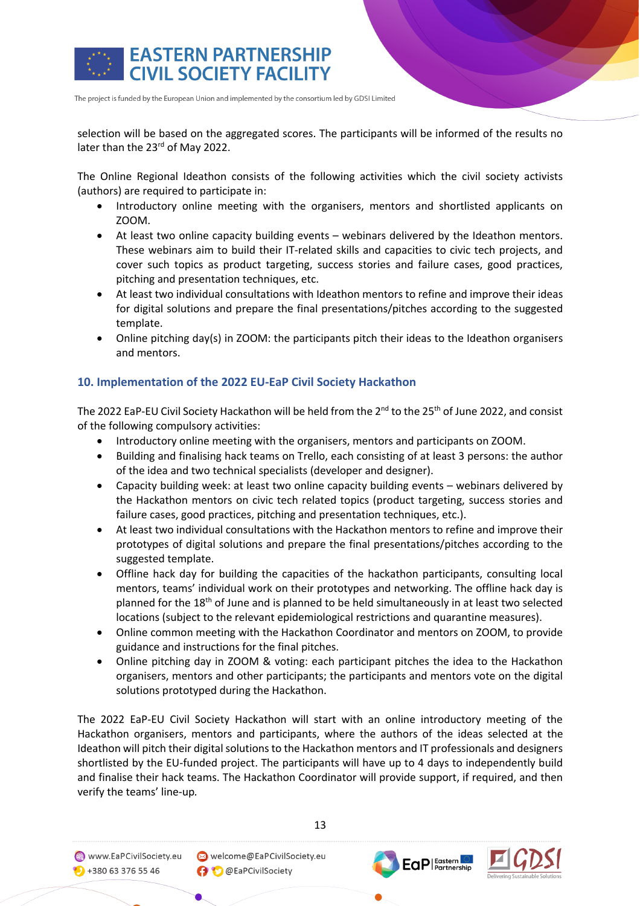

selection will be based on the aggregated scores. The participants will be informed of the results no later than the 23<sup>rd</sup> of May 2022.

The Online Regional Ideathon consists of the following activities which the civil society activists (authors) are required to participate in:

- Introductory online meeting with the organisers, mentors and shortlisted applicants on ZOOM.
- At least two online capacity building events webinars delivered by the Ideathon mentors. These webinars aim to build their IT-related skills and capacities to civic tech projects, and cover such topics as product targeting, success stories and failure cases, good practices, pitching and presentation techniques, etc.
- At least two individual consultations with Ideathon mentors to refine and improve their ideas for digital solutions and prepare the final presentations/pitches according to the suggested template.
- Online pitching day(s) in ZOOM: the participants pitch their ideas to the Ideathon organisers and mentors.

# **10. Implementation of the 2022 EU-EaP Civil Society Hackathon**

The 2022 EaP-EU Civil Society Hackathon will be held from the 2<sup>nd</sup> to the 25<sup>th</sup> of June 2022, and consist of the following compulsory activities:

- Introductory online meeting with the organisers, mentors and participants on ZOOM.
- Building and finalising hack teams on Trello, each consisting of at least 3 persons: the author of the idea and two technical specialists (developer and designer).
- Capacity building week: at least two online capacity building events webinars delivered by the Hackathon mentors on civic tech related topics (product targeting, success stories and failure cases, good practices, pitching and presentation techniques, etc.).
- At least two individual consultations with the Hackathon mentors to refine and improve their prototypes of digital solutions and prepare the final presentations/pitches according to the suggested template.
- Offline hack day for building the capacities of the hackathon participants, consulting local mentors, teams' individual work on their prototypes and networking. The offline hack day is planned for the 18<sup>th</sup> of June and is planned to be held simultaneously in at least two selected locations (subject to the relevant epidemiological restrictions and quarantine measures).
- Online common meeting with the Hackathon Coordinator and mentors on ZOOM, to provide guidance and instructions for the final pitches.
- Online pitching day in ZOOM & voting: each participant pitches the idea to the Hackathon organisers, mentors and other participants; the participants and mentors vote on the digital solutions prototyped during the Hackathon.

The 2022 EaP-EU Civil Society Hackathon will start with an online introductory meeting of the Hackathon organisers, mentors and participants, where the authors of the ideas selected at the Ideathon will pitch their digital solutions to the Hackathon mentors and IT professionals and designers shortlisted by the EU-funded project. The participants will have up to 4 days to independently build and finalise their hack teams. The Hackathon Coordinator will provide support, if required, and then verify the teams' line-up*.* 



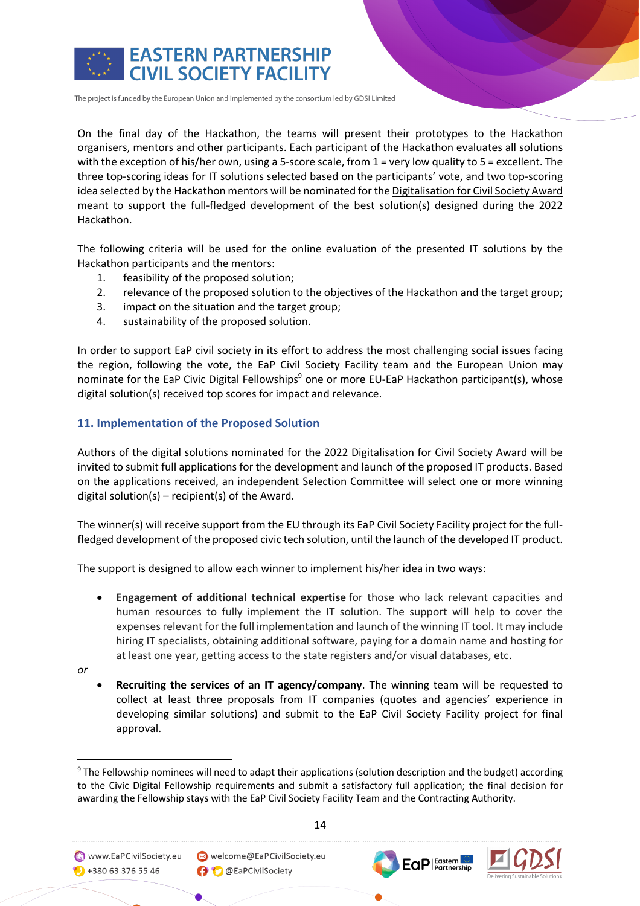

On the final day of the Hackathon, the teams will present their prototypes to the Hackathon organisers, mentors and other participants. Each participant of the Hackathon evaluates all solutions with the exception of his/her own, using a 5-score scale, from 1 = very low quality to 5 = excellent. The three top-scoring ideas for IT solutions selected based on the participants' vote, and two top-scoring idea selected by the Hackathon mentors will be nominated for the Digitalisation for Civil Society Award meant to support the full-fledged development of the best solution(s) designed during the 2022 Hackathon.

The following criteria will be used for the online evaluation of the presented IT solutions by the Hackathon participants and the mentors:

- 1. feasibility of the proposed solution;
- 2. relevance of the proposed solution to the objectives of the Hackathon and the target group;
- 3. impact on the situation and the target group;
- 4. sustainability of the proposed solution.

In order to support EaP civil society in its effort to address the most challenging social issues facing the region, following the vote, the EaP Civil Society Facility team and the European Union may nominate for the EaP Civic Digital Fellowships<sup>9</sup> one or more EU-EaP Hackathon participant(s), whose digital solution(s) received top scores for impact and relevance.

# **11. Implementation of the Proposed Solution**

Authors of the digital solutions nominated for the 2022 Digitalisation for Civil Society Award will be invited to submit full applications for the development and launch of the proposed IT products. Based on the applications received, an independent Selection Committee will select one or more winning digital solution(s) – recipient(s) of the Award.

The winner(s) will receive support from the EU through its EaP Civil Society Facility project for the fullfledged development of the proposed civic tech solution, until the launch of the developed IT product.

The support is designed to allow each winner to implement his/her idea in two ways:

- **Engagement of additional technical expertise** for those who lack relevant capacities and human resources to fully implement the IT solution. The support will help to cover the expenses relevant for the full implementation and launch of the winning IT tool. It may include hiring IT specialists, obtaining additional software, paying for a domain name and hosting for at least one year, getting access to the state registers and/or visual databases, etc.
- *or*
- **Recruiting the services of an IT agency/company**. The winning team will be requested to collect at least three proposals from IT companies (quotes and agencies' experience in developing similar solutions) and submit to the EaP Civil Society Facility project for final approval.







<sup>9</sup> The Fellowship nominees will need to adapt their applications (solution description and the budget) according to the Civic Digital Fellowship requirements and submit a satisfactory full application; the final decision for awarding the Fellowship stays with the EaP Civil Society Facility Team and the Contracting Authority.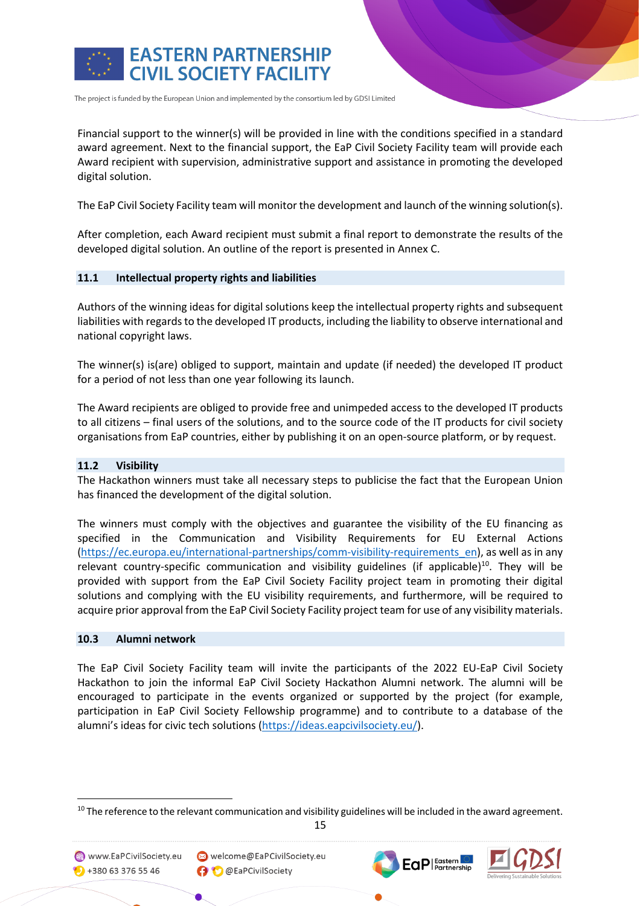

Financial support to the winner(s) will be provided in line with the conditions specified in a standard award agreement. Next to the financial support, the EaP Civil Society Facility team will provide each Award recipient with supervision, administrative support and assistance in promoting the developed digital solution.

The EaP Civil Society Facility team will monitor the development and launch of the winning solution(s).

After completion, each Award recipient must submit a final report to demonstrate the results of the developed digital solution. An outline of the report is presented in Annex C.

#### **11.1 Intellectual property rights and liabilities**

Authors of the winning ideas for digital solutions keep the intellectual property rights and subsequent liabilities with regards to the developed IT products, including the liability to observe international and national copyright laws.

The winner(s) is(are) obliged to support, maintain and update (if needed) the developed IT product for a period of not less than one year following its launch.

The Award recipients are obliged to provide free and unimpeded access to the developed IT products to all citizens – final users of the solutions, and to the source code of the IT products for civil society organisations from EaP countries, either by publishing it on an open-source platform, or by request.

#### **11.2 Visibility**

The Hackathon winners must take all necessary steps to publicise the fact that the European Union has financed the development of the digital solution.

The winners must comply with the objectives and guarantee the visibility of the EU financing as specified in the Communication and Visibility Requirements for EU External Actions (https://ec.europa.eu/international-partnerships/comm-visibility-requirements\_en), as well as in any relevant country-specific communication and visibility guidelines (if applicable)<sup>10</sup>. They will be provided with support from the EaP Civil Society Facility project team in promoting their digital solutions and complying with the EU visibility requirements, and furthermore, will be required to acquire prior approval from the EaP Civil Society Facility project team for use of any visibility materials.

#### **10.3 Alumni network**

The EaP Civil Society Facility team will invite the participants of the 2022 EU-EaP Civil Society Hackathon to join the informal EaP Civil Society Hackathon Alumni network. The alumni will be encouraged to participate in the events organized or supported by the project (for example, participation in EaP Civil Society Fellowship programme) and to contribute to a database of the alumni's ideas for civic tech solutions (https://ideas.eapcivilsociety.eu/).

15

www.EaPCivilSociety.eu  $\bigcirc$  +380 63 376 55 46



<sup>&</sup>lt;sup>10</sup> The reference to the relevant communication and visibility guidelines will be included in the award agreement.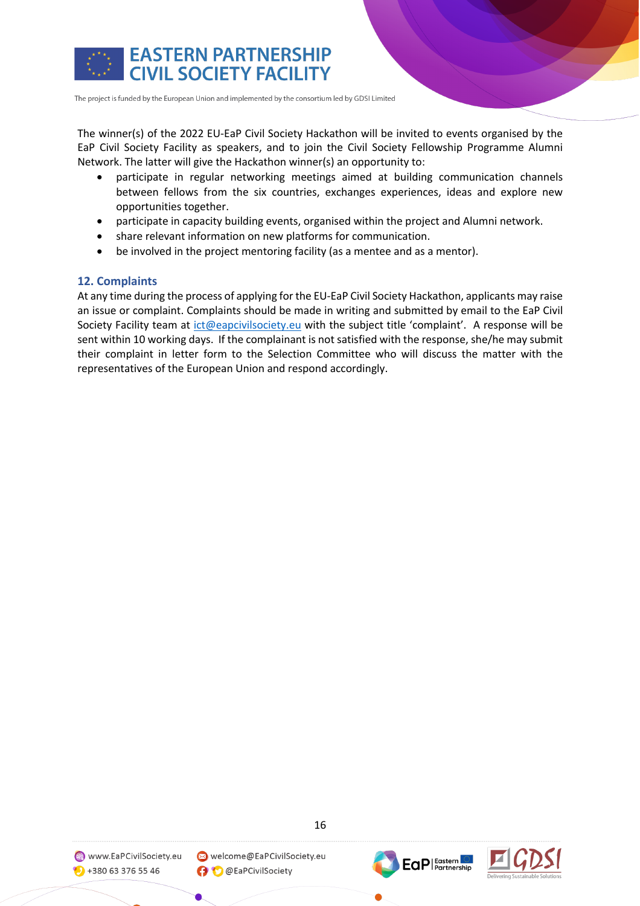

The winner(s) of the 2022 EU-EaP Civil Society Hackathon will be invited to events organised by the EaP Civil Society Facility as speakers, and to join the Civil Society Fellowship Programme Alumni Network. The latter will give the Hackathon winner(s) an opportunity to:

- participate in regular networking meetings aimed at building communication channels between fellows from the six countries, exchanges experiences, ideas and explore new opportunities together.
- participate in capacity building events, organised within the project and Alumni network.
- share relevant information on new platforms for communication.
- be involved in the project mentoring facility (as a mentee and as a mentor).

# **12. Complaints**

At any time during the process of applying for the EU-EaP Civil Society Hackathon, applicants may raise an issue or complaint. Complaints should be made in writing and submitted by email to the EaP Civil Society Facility team at ict@eapcivilsociety.eu with the subject title 'complaint'. A response will be sent within 10 working days. If the complainant is not satisfied with the response, she/he may submit their complaint in letter form to the Selection Committee who will discuss the matter with the representatives of the European Union and respond accordingly.





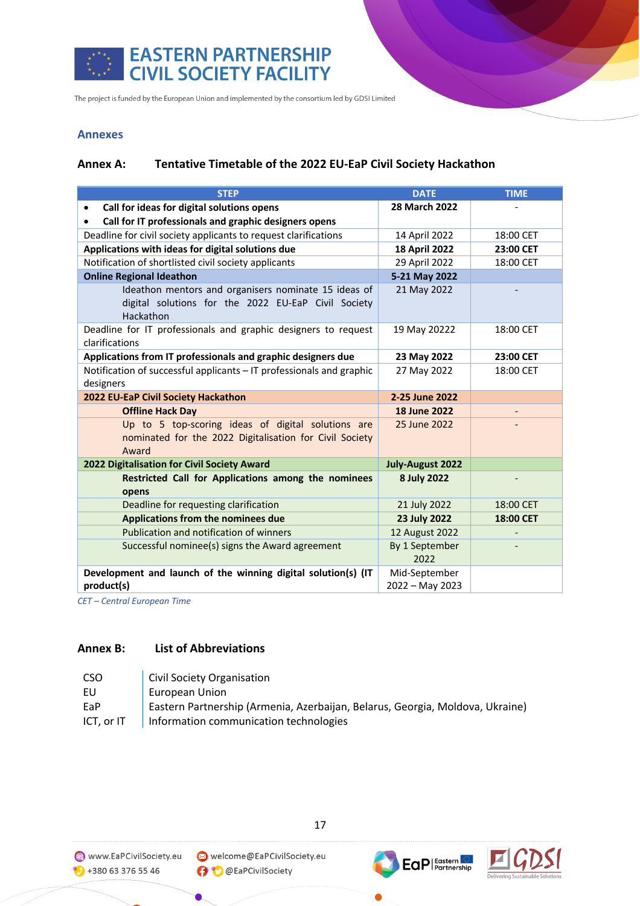

### **Annexes**

## **Annex A: Tentative Timetable of the 2022 EU-EaP Civil Society Hackathon**

| <b>STEP</b>                                                                                                              | <b>DATE</b>                      | <b>TIME</b> |
|--------------------------------------------------------------------------------------------------------------------------|----------------------------------|-------------|
| Call for ideas for digital solutions opens<br>$\bullet$                                                                  | 28 March 2022                    |             |
| Call for IT professionals and graphic designers opens                                                                    |                                  |             |
| Deadline for civil society applicants to request clarifications                                                          | 14 April 2022                    | 18:00 CET   |
| Applications with ideas for digital solutions due                                                                        | <b>18 April 2022</b>             | 23:00 CET   |
| Notification of shortlisted civil society applicants                                                                     | 29 April 2022                    | 18:00 CET   |
| <b>Online Regional Ideathon</b>                                                                                          | 5-21 May 2022                    |             |
| Ideathon mentors and organisers nominate 15 ideas of<br>digital solutions for the 2022 EU-EaP Civil Society<br>Hackathon | 21 May 2022                      |             |
| Deadline for IT professionals and graphic designers to request<br>clarifications                                         | 19 May 20222                     | 18:00 CET   |
| Applications from IT professionals and graphic designers due                                                             | 23 May 2022                      | 23:00 CET   |
| Notification of successful applicants - IT professionals and graphic<br>designers                                        | 27 May 2022                      | 18:00 CET   |
| 2022 EU-EaP Civil Society Hackathon                                                                                      | 2-25 June 2022                   |             |
| <b>Offline Hack Day</b>                                                                                                  | <b>18 June 2022</b>              |             |
| Up to 5 top-scoring ideas of digital solutions are<br>nominated for the 2022 Digitalisation for Civil Society<br>Award   | 25 June 2022                     |             |
| 2022 Digitalisation for Civil Society Award                                                                              | <b>July-August 2022</b>          |             |
| Restricted Call for Applications among the nominees<br>opens                                                             | 8 July 2022                      |             |
| Deadline for requesting clarification                                                                                    | 21 July 2022                     | 18:00 CET   |
| Applications from the nominees due                                                                                       | 23 July 2022                     | 18:00 CET   |
| Publication and notification of winners                                                                                  | 12 August 2022                   |             |
| Successful nominee(s) signs the Award agreement                                                                          | By 1 September<br>2022           |             |
| Development and launch of the winning digital solution(s) (IT<br>product(s)                                              | Mid-September<br>2022 - May 2023 |             |

*CET – Central European Time*

# **Annex B: List of Abbreviations**

| CSO        | Civil Society Organisation                                                    |
|------------|-------------------------------------------------------------------------------|
| EU         | European Union                                                                |
| EaP        | Eastern Partnership (Armenia, Azerbaijan, Belarus, Georgia, Moldova, Ukraine) |
| ICT, or IT | Information communication technologies                                        |

17

 $\bullet$